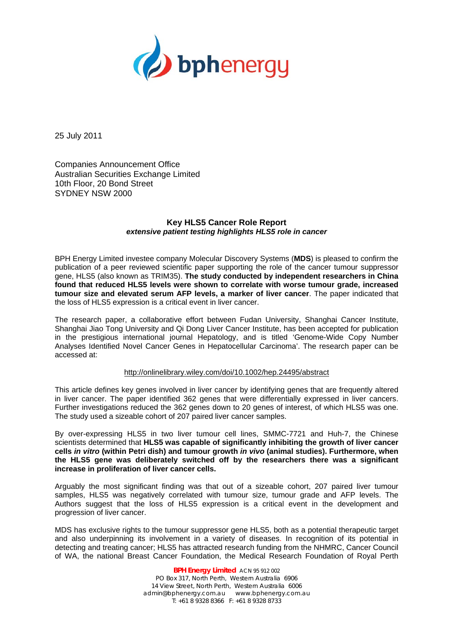

25 July 2011

Companies Announcement Office Australian Securities Exchange Limited 10th Floor, 20 Bond Street SYDNEY NSW 2000

# **Key HLS5 Cancer Role Report**  *extensive patient testing highlights HLS5 role in cancer*

BPH Energy Limited investee company Molecular Discovery Systems (**MDS**) is pleased to confirm the publication of a peer reviewed scientific paper supporting the role of the cancer tumour suppressor gene, HLS5 (also known as TRIM35). **The study conducted by independent researchers in China found that reduced HLS5 levels were shown to correlate with worse tumour grade, increased tumour size and elevated serum AFP levels, a marker of liver cancer**. The paper indicated that the loss of HLS5 expression is a critical event in liver cancer.

The research paper, a collaborative effort between Fudan University, Shanghai Cancer Institute, Shanghai Jiao Tong University and Qi Dong Liver Cancer Institute, has been accepted for publication in the prestigious international journal Hepatology, and is titled 'Genome-Wide Copy Number Analyses Identified Novel Cancer Genes in Hepatocellular Carcinoma'. The research paper can be accessed at:

### http://onlinelibrary.wiley.com/doi/10.1002/hep.24495/abstract

This article defines key genes involved in liver cancer by identifying genes that are frequently altered in liver cancer. The paper identified 362 genes that were differentially expressed in liver cancers. Further investigations reduced the 362 genes down to 20 genes of interest, of which HLS5 was one. The study used a sizeable cohort of 207 paired liver cancer samples.

By over-expressing HLS5 in two liver tumour cell lines, SMMC-7721 and Huh-7, the Chinese scientists determined that **HLS5 was capable of significantly inhibiting the growth of liver cancer cells** *in vitro* **(within Petri dish) and tumour growth** *in vivo* **(animal studies). Furthermore, when the HLS5 gene was deliberately switched off by the researchers there was a significant increase in proliferation of liver cancer cells.** 

Arguably the most significant finding was that out of a sizeable cohort, 207 paired liver tumour samples, HLS5 was negatively correlated with tumour size, tumour grade and AFP levels. The Authors suggest that the loss of HLS5 expression is a critical event in the development and progression of liver cancer.

MDS has exclusive rights to the tumour suppressor gene HLS5, both as a potential therapeutic target and also underpinning its involvement in a variety of diseases. In recognition of its potential in detecting and treating cancer; HLS5 has attracted research funding from the NHMRC, Cancer Council of WA, the national Breast Cancer Foundation, the Medical Research Foundation of Royal Perth